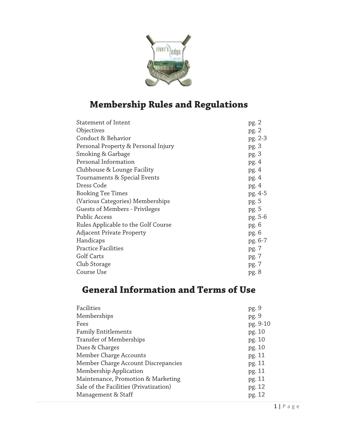

# **Membership Rules and Regulations**

| Statement of Intent                 | pg. 2   |
|-------------------------------------|---------|
| Objectives                          | pg. 2   |
| Conduct & Behavior                  | pg. 2-3 |
| Personal Property & Personal Injury | pg. 3   |
| Smoking & Garbage                   | pg. 3   |
| Personal Information                | pg.4    |
| Clubhouse & Lounge Facility         | pg. 4   |
| Tournaments & Special Events        | pg.4    |
| Dress Code                          | pg.4    |
| <b>Booking Tee Times</b>            | pg. 4-5 |
| (Various Categories) Memberships    | pg. 5   |
| Guests of Members - Privileges      | pg. 5   |
| Public Access                       | pg. 5-6 |
| Rules Applicable to the Golf Course | pg. 6   |
| <b>Adjacent Private Property</b>    | pg. 6   |
| Handicaps                           | pg. 6-7 |
| <b>Practice Facilities</b>          | pg. 7   |
| Golf Carts                          | pg. 7   |
| Club Storage                        | pg. 7   |
| Course Use                          | pg. 8   |
|                                     |         |

## **General Information and Terms of Use**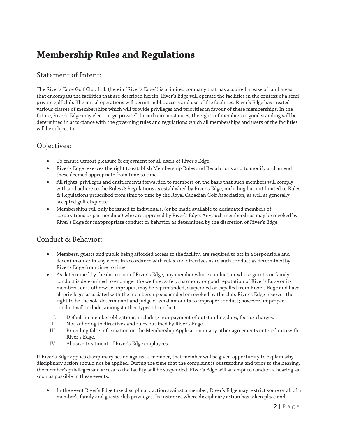## **Membership Rules and Regulations**

#### Statement of Intent:

The River's Edge Golf Club Ltd. (herein ''River's Edge'') is a limited company that has acquired a lease of land areas that encompass the facilities that are described herein, River's Edge will operate the facilities in the context of a semi private golf club. The initial operations will permit public access and use of the facilities. River's Edge has created various classes of memberships which will provide privileges and priorities in favour of these memberships. In the future, River's Edge may elect to "go private". In such circumstances, the rights of members in good standing will be determined in accordance with the governing rules and regulations which all memberships and users of the facilities will be subject to.

#### Objectives:

- To ensure utmost pleasure & enjoyment for all users of River's Edge.
- River's Edge reserves the right to establish Membership Rules and Regulations and to modify and amend these deemed appropriate from time to time.
- All rights, privileges and entitlements forwarded to members on the basis that such members will comply with and adhere to the Rules & Regulations as established by River's Edge, including but not limited to Rules & Regulations prescribed from time to time by the Royal Canadian Golf Association, as well as generally accepted golf etiquette.
- Memberships will only be issued to individuals, (or be made available to designated members of corporations or partnerships) who are approved by River's Edge. Any such memberships may be revoked by River's Edge for inappropriate conduct or behavior as determined by the discretion of River's Edge.

## Conduct & Behavior:

- Members, guests and public being afforded access to the facility, are required to act in a responsible and decent manner in any event in accordance with rules and directives as to such conduct as determined by River's Edge from time to time.
- As determined by the discretion of River's Edge, any member whose conduct, or whose guest's or family conduct is determined to endanger the welfare, safety, harmony or good reputation of River's Edge or its members, or is otherwise improper, may be reprimanded, suspended or expelled from River's Edge and have all privileges associated with the membership suspended or revoked by the club. River's Edge reserves the right to be the sole determinant and judge of what amounts to improper conduct; however, improper conduct will include, amongst other types of conduct:
	- I. Default in member obligations, including non-payment of outstanding dues, fees or charges.
- II. Not adhering to directives and rules outlined by River's Edge.
- III. Providing false information on the Membership Application or any other agreements entered into with River's Edge.
- IV. Abusive treatment of River's Edge employees.

If River's Edge applies disciplinary action against a member, that member will be given opportunity to explain why disciplinary action should not be applied. During the time that the complaint is outstanding and prior to the hearing, the member's privileges and access to the facility will be suspended. River's Edge will attempt to conduct a hearing as soon as possible in these events.

 In the event River's Edge take disciplinary action against a member, River's Edge may restrict some or all of a member's family and guests club privileges. In instances where disciplinary action has taken place and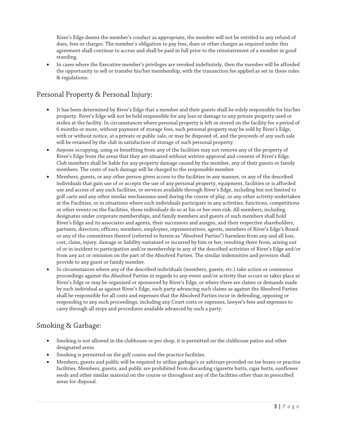River's Edge deems the member's conduct as appropriate, the member will not be entitled to any refund of dues, fees or charges. The member's obligation to pay fees, dues or other charges as required under this agreement shall continue to accrue and shall be paid in full prior to the reinstatement of a member in good standing.

 In cases where the Executive member's privileges are revoked indefinitely, then the member will be afforded the opportunity to sell or transfer his/her membership, with the transaction fee applied as set in these rules & regulations.

#### Personal Property & Personal Injury:

- It has been determined by River's Edge that a member and their guests shall be solely responsible for his/her property. River's Edge will not be held responsible for any loss or damage to any private property used or stolen at the facility. In circumstances where personal property is left or stored on the facility for a period of 6 months or more, without payment of storage fees, such personal property may be sold by River's Edge, with or without notice, at a private or public sale, or may be disposed of, and the proceeds of any such sale will be retained by the club in satisfaction of storage of such personal property.
- Anyone occupying, using or benefiting from any of the facilities may not remove any of the property of River's Edge from the areas that they are situated without written approval and consent of River's Edge. Club members shall be liable for any property damage caused by the member, any of their guests or family members. The costs of such damage will be charged to the responsible member.
- Members, guests, or any other person given access to the facilities in any manner, or any of the described individuals that gain use of or accepts the use of any personal property, equipment, facilities or is afforded use and access of any such facilities, or services available through River's Edge, including but not limited to golf carts and any other similar mechanisms used during the course of play, or any other activity undertaken at the Facilities, or in situations where such individuals participate in any activities, functions, competitions or other events on the Facilities, these individuals do so at his or her own risk. All members, including designates under corporate memberships, and family members and guests of such members shall hold River's Edge and its associates and agents, their successors and assigns, and their respective shareholders, partners, directors, officers, members, employees, representatives, agents, members of River's Edge's Board or any of the committees thereof (referred to herein as ''Absolved Parties'') harmless from any and all loss, cost, claim, injury, damage or liability sustained or incurred by him or her, resulting there from, arising out of or in incident to participation and/or membership in any of the described activities of River's Edge and/or from any act or omission on the part of the Absolved Parties. The similar indemnities and provisos shall provide to any guest or family member.
- In circumstances where any of the described individuals (members, guests, etc.) take action or commence proceedings against the Absolved Parties in regards to any event and/or activity that occurs or takes place at River's Edge or may be organized or sponsored by River's Edge, or where there are claims or demands made by such individual as against River's Edge, such party advancing such claims as against the Absolved Parties shall be responsible for all costs and expenses that the Absolved Parties incur in defending, opposing or responding to any such proceedings, including any Court costs or expenses, lawyer's fees and expenses to carry through all steps and procedures available advanced by such a party.

## Smoking & Garbage:

- Smoking is not allowed in the clubhouse or pro shop, it is permitted on the clubhouse patios and other designated areas.
- Smoking is permitted on the golf course and the practice facilities.
- Members, guests and public will be required to utilize garbage's or ashtrays provided on tee boxes or practice facilities. Members, guests, and public are prohibited from discarding cigarette butts, cigar butts, sunflower seeds and other similar material on the course or throughout any of the facilities other than in prescribed areas for disposal.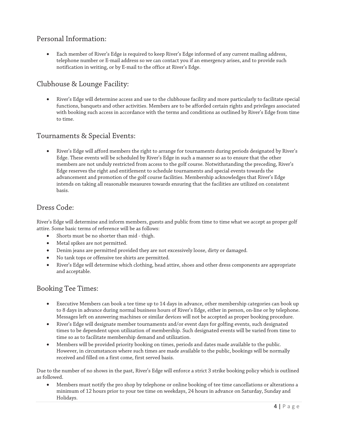#### Personal Information:

 Each member of River's Edge is required to keep River's Edge informed of any current mailing address, telephone number or E-mail address so we can contact you if an emergency arises, and to provide such notification in writing, or by E-mail to the office at River's Edge.

## Clubhouse & Lounge Facility:

 River's Edge will determine access and use to the clubhouse facility and more particularly to facilitate special functions, banquets and other activities. Members are to be afforded certain rights and privileges associated with booking such access in accordance with the terms and conditions as outlined by River's Edge from time to time.

## Tournaments & Special Events:

 River's Edge will afford members the right to arrange for tournaments during periods designated by River's Edge. These events will be scheduled by River's Edge in such a manner so as to ensure that the other members are not unduly restricted from access to the golf course. Notwithstanding the preceding, River's Edge reserves the right and entitlement to schedule tournaments and special events towards the advancement and promotion of the golf course facilities. Membership acknowledges that River's Edge intends on taking all reasonable measures towards ensuring that the facilities are utilized on consistent basis.

#### Dress Code:

River's Edge will determine and inform members, guests and public from time to time what we accept as proper golf attire. Some basic terms of reference will be as follows:

- Shorts must be no shorter than mid thigh.
- Metal spikes are not permitted.
- Denim jeans are permitted provided they are not excessively loose, dirty or damaged.
- No tank tops or offensive tee shirts are permitted.
- River's Edge will determine which clothing, head attire, shoes and other dress components are appropriate and acceptable.

#### Booking Tee Times:

- Executive Members can book a tee time up to 14 days in advance, other membership categories can book up to 8 days in advance during normal business hours of River's Edge, either in person, on-line or by telephone. Messages left on answering machines or similar devices will not be accepted as proper booking procedure.
- River's Edge will designate member tournaments and/or event days for golfing events, such designated times to be dependent upon utilization of membership. Such designated events will be varied from time to time so as to facilitate membership demand and utilization.
- Members will be provided priority booking on times, periods and dates made available to the public. However, in circumstances where such times are made available to the public, bookings will be normally received and filled on a first come, first served basis.

Due to the number of no shows in the past, River's Edge will enforce a strict 3 strike booking policy which is outlined as followed.

 Members must notify the pro shop by telephone or online booking of tee time cancellations or alterations a minimum of 12 hours prior to your tee time on weekdays, 24 hours in advance on Saturday, Sunday and Holidays.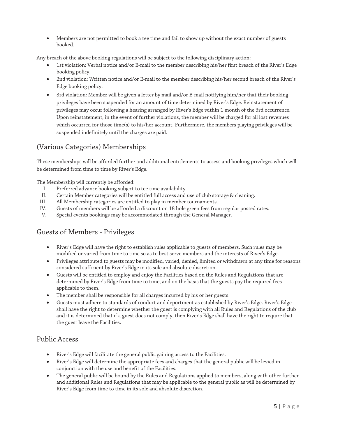Members are not permitted to book a tee time and fail to show up without the exact number of guests booked.

Any breach of the above booking regulations will be subject to the following disciplinary action:

- 1st violation: Verbal notice and/or E-mail to the member describing his/her first breach of the River's Edge booking policy.
- 2nd violation: Written notice and/or E-mail to the member describing his/her second breach of the River's Edge booking policy.
- 3rd violation: Member will be given a letter by mail and/or E-mail notifying him/her that their booking privileges have been suspended for an amount of time determined by River's Edge. Reinstatement of privileges may occur following a hearing arranged by River's Edge within 1 month of the 3rd occurrence. Upon reinstatement, in the event of further violations, the member will be charged for all lost revenues which occurred for those time(s) to his/her account. Furthermore, the members playing privileges will be suspended indefinitely until the charges are paid.

## (Various Categories) Memberships

These memberships will be afforded further and additional entitlements to access and booking privileges which will be determined from time to time by River's Edge.

The Membership will currently be afforded:

- I. Preferred advance booking subject to tee time availability.
- II. Certain Member categories will be entitled full access and use of club storage & cleaning.
- III. All Membership categories are entitled to play in member tournaments.
- IV. Guests of members will be afforded a discount on 18 hole green fees from regular posted rates.
- V. Special events bookings may be accommodated through the General Manager.

## Guests of Members - Privileges

- River's Edge will have the right to establish rules applicable to guests of members. Such rules may be modified or varied from time to time so as to best serve members and the interests of River's Edge.
- Privileges attributed to guests may be modified, varied, denied, limited or withdrawn at any time for reasons considered sufficient by River's Edge in its sole and absolute discretion.
- Guests will be entitled to employ and enjoy the Facilities based on the Rules and Regulations that are determined by River's Edge from time to time, and on the basis that the guests pay the required fees applicable to them.
- The member shall be responsible for all charges incurred by his or her guests.
- Guests must adhere to standards of conduct and deportment as established by River's Edge. River's Edge shall have the right to determine whether the guest is complying with all Rules and Regulations of the club and it is determined that if a guest does not comply, then River's Edge shall have the right to require that the guest leave the Facilities.

#### Public Access

- River's Edge will facilitate the general public gaining access to the Facilities.
- River's Edge will determine the appropriate fees and charges that the general public will be levied in conjunction with the use and benefit of the Facilities.
- The general public will be bound by the Rules and Regulations applied to members, along with other further and additional Rules and Regulations that may be applicable to the general public as will be determined by River's Edge from time to time in its sole and absolute discretion.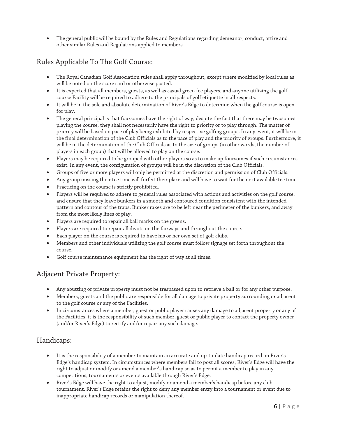The general public will be bound by the Rules and Regulations regarding demeanor, conduct, attire and other similar Rules and Regulations applied to members.

## Rules Applicable To The Golf Course:

- The Royal Canadian Golf Association rules shall apply throughout, except where modified by local rules as will be noted on the score card or otherwise posted.
- It is expected that all members, guests, as well as casual green fee players, and anyone utilizing the golf course Facility will be required to adhere to the principals of golf etiquette in all respects.
- It will be in the sole and absolute determination of River's Edge to determine when the golf course is open for play.
- The general principal is that foursomes have the right of way, despite the fact that there may be twosomes playing the course, they shall not necessarily have the right to priority or to play through. The matter of priority will be based on pace of play being exhibited by respective golfing groups. In any event, it will be in the final determination of the Club Officials as to the pace of play and the priority of groups. Furthermore, it will be in the determination of the Club Officials as to the size of groups (in other words, the number of players in each group) that will be allowed to play on the course.
- Players may be required to be grouped with other players so as to make up foursomes if such circumstances exist. In any event, the configuration of groups will be in the discretion of the Club Officials.
- Groups of five or more players will only be permitted at the discretion and permission of Club Officials.
- Any group missing their tee time will forfeit their place and will have to wait for the next available tee time.
- Practicing on the course is strictly prohibited.
- Players will be required to adhere to general rules associated with actions and activities on the golf course, and ensure that they leave bunkers in a smooth and contoured condition consistent with the intended pattern and contour of the traps. Bunker rakes are to be left near the perimeter of the bunkers, and away from the most likely lines of play.
- Players are required to repair all ball marks on the greens.
- Players are required to repair all divots on the fairways and throughout the course.
- Each player on the course is required to have his or her own set of golf clubs.
- Members and other individuals utilizing the golf course must follow signage set forth throughout the course.
- Golf course maintenance equipment has the right of way at all times.

#### Adjacent Private Property:

- Any abutting or private property must not be trespassed upon to retrieve a ball or for any other purpose.
- Members, guests and the public are responsible for all damage to private property surrounding or adjacent to the golf course or any of the Facilities.
- In circumstances where a member, guest or public player causes any damage to adjacent property or any of the Facilities, it is the responsibility of such member, guest or public player to contact the property owner (and/or River's Edge) to rectify and/or repair any such damage.

## Handicaps:

- It is the responsibility of a member to maintain an accurate and up-to-date handicap record on River's Edge's handicap system. In circumstances where members fail to post all scores, River's Edge will have the right to adjust or modify or amend a member's handicap so as to permit a member to play in any competitions, tournaments or events available through River's Edge.
- River's Edge will have the right to adjust, modify or amend a member's handicap before any club tournament. River's Edge retains the right to deny any member entry into a tournament or event due to inappropriate handicap records or manipulation thereof.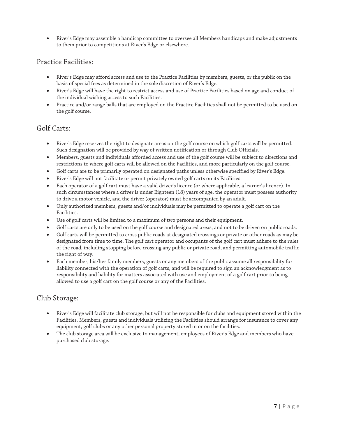River's Edge may assemble a handicap committee to oversee all Members handicaps and make adjustments to them prior to competitions at River's Edge or elsewhere.

#### Practice Facilities:

- River's Edge may afford access and use to the Practice Facilities by members, guests, or the public on the basis of special fees as determined in the sole discretion of River's Edge.
- River's Edge will have the right to restrict access and use of Practice Facilities based on age and conduct of the individual wishing access to such Facilities.
- Practice and/or range balls that are employed on the Practice Facilities shall not be permitted to be used on the golf course.

#### Golf Carts:

- River's Edge reserves the right to designate areas on the golf course on which golf carts will be permitted. Such designation will be provided by way of written notification or through Club Officials.
- Members, guests and individuals afforded access and use of the golf course will be subject to directions and restrictions to where golf carts will be allowed on the Facilities, and more particularly on the golf course.
- Golf carts are to be primarily operated on designated paths unless otherwise specified by River's Edge.
- River's Edge will not facilitate or permit privately owned golf carts on its Facilities.
- Each operator of a golf cart must have a valid driver's licence (or where applicable, a learner's licence). In such circumstances where a driver is under Eighteen (18) years of age, the operator must possess authority to drive a motor vehicle, and the driver (operator) must be accompanied by an adult.
- Only authorized members, guests and/or individuals may be permitted to operate a golf cart on the Facilities.
- Use of golf carts will be limited to a maximum of two persons and their equipment.
- Golf carts are only to be used on the golf course and designated areas, and not to be driven on public roads.
- Golf carts will be permitted to cross public roads at designated crossings or private or other roads as may be designated from time to time. The golf cart operator and occupants of the golf cart must adhere to the rules of the road, including stopping before crossing any public or private road, and permitting automobile traffic the right of way.
- Each member, his/her family members, guests or any members of the public assume all responsibility for liability connected with the operation of golf carts, and will be required to sign an acknowledgment as to responsibility and liability for matters associated with use and employment of a golf cart prior to being allowed to use a golf cart on the golf course or any of the Facilities.

## Club Storage:

- River's Edge will facilitate club storage, but will not be responsible for clubs and equipment stored within the Facilities. Members, guests and individuals utilizing the Facilities should arrange for insurance to cover any equipment, golf clubs or any other personal property stored in or on the facilities.
- The club storage area will be exclusive to management, employees of River's Edge and members who have purchased club storage.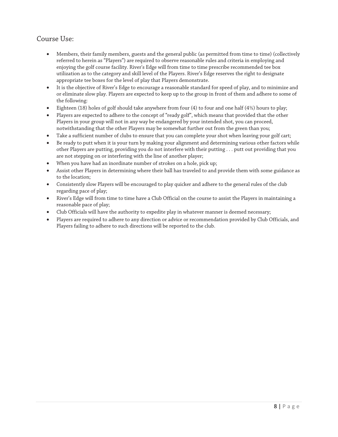## Course Use:

- Members, their family members, guests and the general public (as permitted from time to time) (collectively referred to herein as ''Players'') are required to observe reasonable rules and criteria in employing and enjoying the golf course facility. River's Edge will from time to time prescribe recommended tee box utilization as to the category and skill level of the Players. River's Edge reserves the right to designate appropriate tee boxes for the level of play that Players demonstrate.
- It is the objective of River's Edge to encourage a reasonable standard for speed of play, and to minimize and or eliminate slow play. Players are expected to keep up to the group in front of them and adhere to some of the following:
- Eighteen (18) holes of golf should take anywhere from four (4) to four and one half (4½) hours to play;
- Players are expected to adhere to the concept of "ready golf", which means that provided that the other Players in your group will not in any way be endangered by your intended shot, you can proceed, notwithstanding that the other Players may be somewhat further out from the green than you;
- Take a sufficient number of clubs to ensure that you can complete your shot when leaving your golf cart;
- Be ready to putt when it is your turn by making your alignment and determining various other factors while other Players are putting, providing you do not interfere with their putting . . . putt out providing that you are not stepping on or interfering with the line of another player;
- When you have had an inordinate number of strokes on a hole, pick up;
- Assist other Players in determining where their ball has traveled to and provide them with some guidance as to the location;
- Consistently slow Players will be encouraged to play quicker and adhere to the general rules of the club regarding pace of play;
- River's Edge will from time to time have a Club Official on the course to assist the Players in maintaining a reasonable pace of play;
- Club Officials will have the authority to expedite play in whatever manner is deemed necessary;
- Players are required to adhere to any direction or advice or recommendation provided by Club Officials, and Players failing to adhere to such directions will be reported to the club.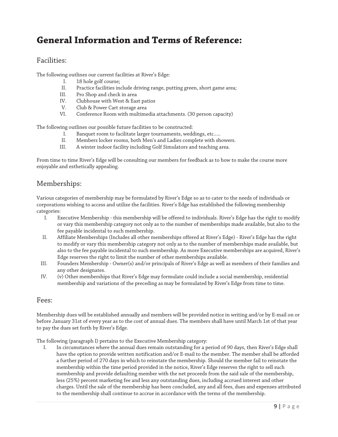## **General Information and Terms of Reference:**

#### Facilities:

The following outlines our current facilities at River's Edge:

- I. 18 hole golf course;<br>II. Practice facilities in
- II. Practice facilities include driving range, putting green, short game area;
- Pro Shop and check in area
- IV. Clubhouse with West & East patios
- V. Club & Power Cart storage area
- VI. Conference Room with multimedia attachments. (30 person capacity)

The following outlines our possible future facilities to be constructed:

- I. Banquet room to facilitate larger tournaments, weddings, etc.....
- II. Members locker rooms, both Men's and Ladies complete with showers.
- III. A winter indoor facility including Golf Simulators and teaching area.

From time to time River's Edge will be consulting our members for feedback as to how to make the course more enjoyable and esthetically appealing.

#### Memberships:

Various categories of membership may be formulated by River's Edge so as to cater to the needs of individuals or corporations wishing to access and utilize the facilities. River's Edge has established the following membership categories:

- I. Executive Membership this membership will be offered to individuals. River's Edge has the right to modify or vary this membership category not only as to the number of memberships made available, but also to the fee payable incidental to such membership.
- II. Affiliate Memberships (Includes all other memberships offered at River's Edge) River's Edge has the right to modify or vary this membership category not only as to the number of memberships made available, but also to the fee payable incidental to such membership. As more Executive memberships are acquired, River's Edge reserves the right to limit the number of other memberships available.
- III. Founders Membership Owner(s) and/or principals of River's Edge as well as members of their families and any other designates.
- IV. (v) Other memberships that River's Edge may formulate could include a social membership, residential membership and variations of the preceding as may be formulated by River's Edge from time to time.

#### Fees:

Membership dues will be established annually and members will be provided notice in writing and/or by E-mail on or before January 31st of every year as to the cost of annual dues. The members shall have until March 1st of that year to pay the dues set forth by River's Edge.

The following (paragraph I) pertains to the Executive Membership category:

I. In circumstances where the annual dues remain outstanding for a period of 90 days, then River's Edge shall have the option to provide written notification and/or E-mail to the member. The member shall be afforded a further period of 270 days in which to reinstate the membership. Should the member fail to reinstate the membership within the time period provided in the notice, River's Edge reserves the right to sell such membership and provide defaulting member with the net proceeds from the said sale of the membership, less (25%) percent marketing fee and less any outstanding dues, including accrued interest and other charges. Until the sale of the membership has been concluded, any and all fees, dues and expenses attributed to the membership shall continue to accrue in accordance with the terms of the membership.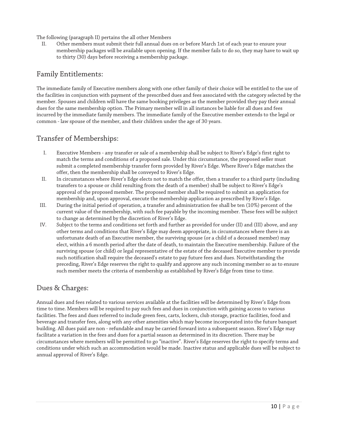The following (paragraph II) pertains the all other Members

II. Other members must submit their full annual dues on or before March 1st of each year to ensure your membership packages will be available upon opening. If the member fails to do so, they may have to wait up to thirty (30) days before receiving a membership package.

#### Family Entitlements:

The immediate family of Executive members along with one other family of their choice will be entitled to the use of the facilities in conjunction with payment of the prescribed dues and fees associated with the category selected by the member. Spouses and children will have the same booking privileges as the member provided they pay their annual dues for the same membership option. The Primary member will in all instances be liable for all dues and fees incurred by the immediate family members. The immediate family of the Executive member extends to the legal or common - law spouse of the member, and their children under the age of 30 years.

#### Transfer of Memberships:

- I. Executive Members any transfer or sale of a membership shall be subject to River's Edge's first right to match the terms and conditions of a proposed sale. Under this circumstance, the proposed seller must submit a completed membership transfer form provided by River's Edge. Where River's Edge matches the offer, then the membership shall be conveyed to River's Edge.
- II. In circumstances where River's Edge elects not to match the offer, then a transfer to a third party (including transfers to a spouse or child resulting from the death of a member) shall be subject to River's Edge's approval of the proposed member. The proposed member shall be required to submit an application for membership and, upon approval, execute the membership application as prescribed by River's Edge.
- III. During the initial period of operation, a transfer and administration fee shall be ten (10%) percent of the current value of the membership, with such fee payable by the incoming member. These fees will be subject to change as determined by the discretion of River's Edge.
- IV. Subject to the terms and conditions set forth and further as provided for under (II) and (III) above, and any other terms and conditions that River's Edge may deem appropriate, in circumstances where there is an unfortunate death of an Executive member, the surviving spouse (or a child of a deceased member) may elect, within a 6 month period after the date of death, to maintain the Executive membership. Failure of the surviving spouse (or child) or legal representative of the estate of the deceased Executive member to provide such notification shall require the deceased's estate to pay future fees and dues. Notwithstanding the preceding, River's Edge reserves the right to qualify and approve any such incoming member so as to ensure such member meets the criteria of membership as established by River's Edge from time to time.

#### Dues & Charges:

Annual dues and fees related to various services available at the facilities will be determined by River's Edge from time to time. Members will be required to pay such fees and dues in conjunction with gaining access to various facilities. The fees and dues referred to include green fees, carts, lockers, club storage, practice facilities, food and beverage and transfer fees, along with any other amenities which may become incorporated into the future banquet building. All dues paid are non - refundable and may be carried forward into a subsequent season. River's Edge may facilitate a variation in the fees and dues for a partial season as determined in its discretion. There may be circumstances where members will be permitted to go ''inactive''. River's Edge reserves the right to specify terms and conditions under which such an accommodation would be made. Inactive status and applicable dues will be subject to annual approval of River's Edge.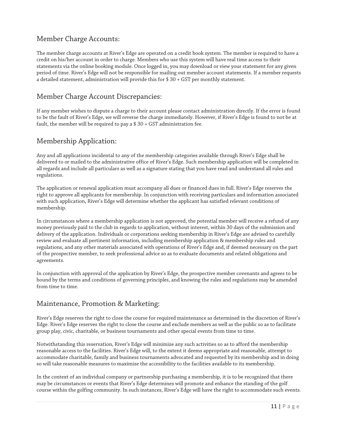#### Member Charge Accounts:

The member charge accounts at River's Edge are operated on a credit book system. The member is required to have a credit on his/her account in order to charge. Members who use this system will have real time access to their statements via the online booking module. Once logged in, you may download or view your statement for any given period of time. River's Edge will not be responsible for mailing out member account statements. If a member requests a detailed statement, administration will provide this for \$ 30 + GST per monthly statement.

#### Member Charge Account Discrepancies:

If any member wishes to dispute a charge to their account please contact administration directly. If the error is found to be the fault of River's Edge, we will reverse the charge immediately. However, if River's Edge is found to not be at fault, the member will be required to pay a  $$30 + GST$  administration fee.

## Membership Application:

Any and all applications incidental to any of the membership categories available through River's Edge shall be delivered to or mailed to the administrative office of River's Edge. Such membership application will be completed in all regards and include all particulars as well as a signature stating that you have read and understand all rules and regulations.

The application or renewal application must accompany all dues or financed dues in full. River's Edge reserves the right to approve all applicants for membership. In conjunction with receiving particulars and information associated with such application, River's Edge will determine whether the applicant has satisfied relevant conditions of membership.

In circumstances where a membership application is not approved, the potential member will receive a refund of any money previously paid to the club in regards to application, without interest, within 30 days of the submission and delivery of the application. Individuals or corporations seeking membership in River's Edge are advised to carefully review and evaluate all pertinent information, including membership application & membership rules and regulations, and any other materials associated with operations of River's Edge and, if deemed necessary on the part of the prospective member, to seek professional advice so as to evaluate documents and related obligations and agreements.

In conjunction with approval of the application by River's Edge, the prospective member covenants and agrees to be bound by the terms and conditions of governing principles, and knowing the rules and regulations may be amended from time to time.

## Maintenance, Promotion & Marketing:

River's Edge reserves the right to close the course for required maintenance as determined in the discretion of River's Edge. River's Edge reserves the right to close the course and exclude members as well as the public so as to facilitate group play, civic, charitable, or business tournaments and other special events from time to time.

Notwithstanding this reservation, River's Edge will minimize any such activities so as to afford the membership reasonable access to the facilities. River's Edge will, to the extent it deems appropriate and reasonable, attempt to accommodate charitable, family and business tournaments advocated and requested by its membership and in doing so will take reasonable measures to maximize the accessibility to the facilities available to its membership.

In the context of an individual company or partnership purchasing a membership, it is to be recognized that there may be circumstances or events that River's Edge determines will promote and enhance the standing of the golf course within the golfing community. In such instances, River's Edge will have the right to accommodate such events.